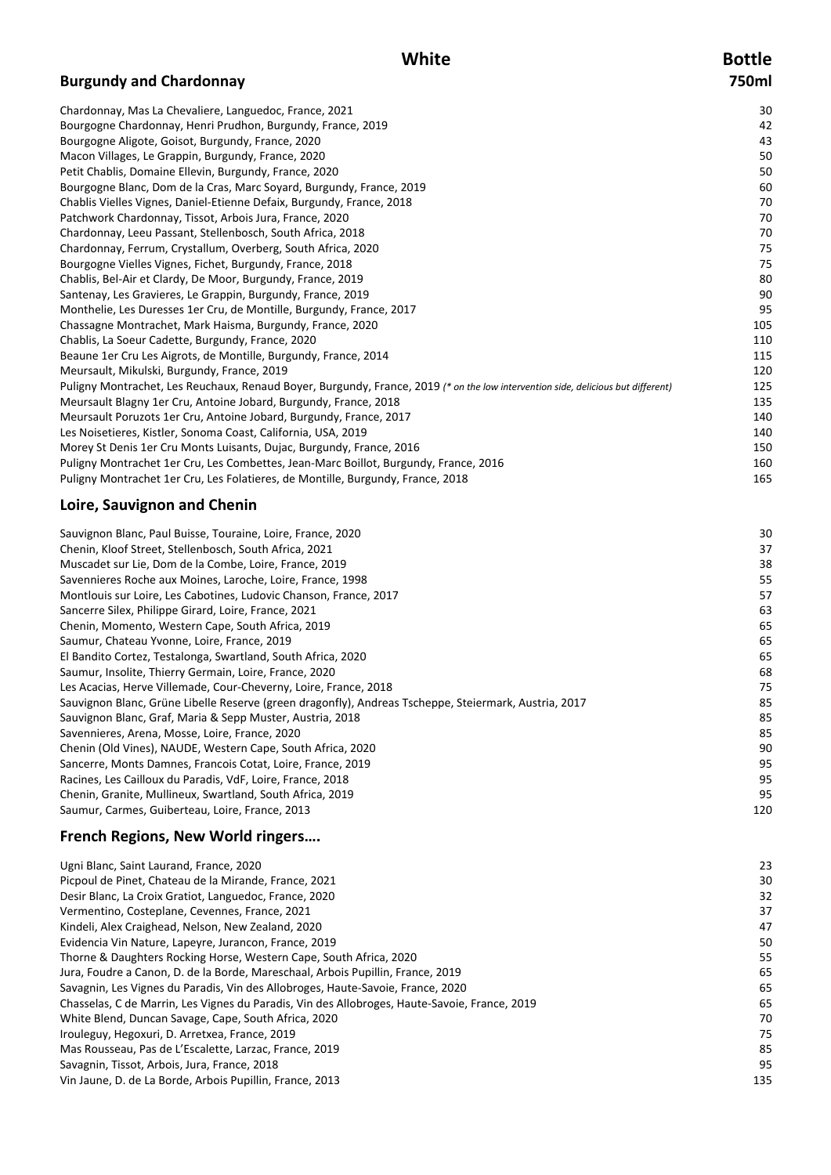# **White Bottle**

# **Burgundy and Chardonnay 750ml**

| Chardonnay, Mas La Chevaliere, Languedoc, France, 2021                                                                           | 30  |
|----------------------------------------------------------------------------------------------------------------------------------|-----|
| Bourgogne Chardonnay, Henri Prudhon, Burgundy, France, 2019                                                                      | 42  |
| Bourgogne Aligote, Goisot, Burgundy, France, 2020                                                                                | 43  |
| Macon Villages, Le Grappin, Burgundy, France, 2020                                                                               | 50  |
| Petit Chablis, Domaine Ellevin, Burgundy, France, 2020                                                                           | 50  |
| Bourgogne Blanc, Dom de la Cras, Marc Soyard, Burgundy, France, 2019                                                             | 60  |
| Chablis Vielles Vignes, Daniel-Etienne Defaix, Burgundy, France, 2018                                                            | 70  |
| Patchwork Chardonnay, Tissot, Arbois Jura, France, 2020                                                                          | 70  |
| Chardonnay, Leeu Passant, Stellenbosch, South Africa, 2018                                                                       | 70  |
| Chardonnay, Ferrum, Crystallum, Overberg, South Africa, 2020                                                                     | 75  |
| Bourgogne Vielles Vignes, Fichet, Burgundy, France, 2018                                                                         | 75  |
| Chablis, Bel-Air et Clardy, De Moor, Burgundy, France, 2019                                                                      | 80  |
| Santenay, Les Gravieres, Le Grappin, Burgundy, France, 2019                                                                      | 90  |
| Monthelie, Les Duresses 1er Cru, de Montille, Burgundy, France, 2017                                                             | 95  |
| Chassagne Montrachet, Mark Haisma, Burgundy, France, 2020                                                                        | 105 |
| Chablis, La Soeur Cadette, Burgundy, France, 2020                                                                                | 110 |
| Beaune 1er Cru Les Aigrots, de Montille, Burgundy, France, 2014                                                                  | 115 |
| Meursault, Mikulski, Burgundy, France, 2019                                                                                      | 120 |
| Puligny Montrachet, Les Reuchaux, Renaud Boyer, Burgundy, France, 2019 (* on the low intervention side, delicious but different) | 125 |
| Meursault Blagny 1er Cru, Antoine Jobard, Burgundy, France, 2018                                                                 | 135 |
| Meursault Poruzots 1er Cru, Antoine Jobard, Burgundy, France, 2017                                                               | 140 |
| Les Noisetieres, Kistler, Sonoma Coast, California, USA, 2019                                                                    | 140 |
| Morey St Denis 1er Cru Monts Luisants, Dujac, Burgundy, France, 2016                                                             | 150 |
| Puligny Montrachet 1er Cru, Les Combettes, Jean-Marc Boillot, Burgundy, France, 2016                                             | 160 |
| Puligny Montrachet 1er Cru, Les Folatieres, de Montille, Burgundy, France, 2018                                                  | 165 |
|                                                                                                                                  |     |

# **Loire, Sauvignon and Chenin**

| Sauvignon Blanc, Paul Buisse, Touraine, Loire, France, 2020                                           | ЗС  |
|-------------------------------------------------------------------------------------------------------|-----|
| Chenin, Kloof Street, Stellenbosch, South Africa, 2021                                                | 37  |
|                                                                                                       |     |
| Muscadet sur Lie, Dom de la Combe, Loire, France, 2019                                                | 38  |
| Savennieres Roche aux Moines, Laroche, Loire, France, 1998                                            | 55  |
| Montlouis sur Loire, Les Cabotines, Ludovic Chanson, France, 2017                                     | 57  |
| Sancerre Silex, Philippe Girard, Loire, France, 2021                                                  | 63  |
| Chenin, Momento, Western Cape, South Africa, 2019                                                     | 65  |
| Saumur, Chateau Yvonne, Loire, France, 2019                                                           | 65  |
| El Bandito Cortez, Testalonga, Swartland, South Africa, 2020                                          | 65  |
| Saumur, Insolite, Thierry Germain, Loire, France, 2020                                                | 68  |
| Les Acacias, Herve Villemade, Cour-Cheverny, Loire, France, 2018                                      | 75  |
| Sauvignon Blanc, Grüne Libelle Reserve (green dragonfly), Andreas Tscheppe, Steiermark, Austria, 2017 | 85  |
| Sauvignon Blanc, Graf, Maria & Sepp Muster, Austria, 2018                                             | 85  |
| Savennieres, Arena, Mosse, Loire, France, 2020                                                        | 85  |
| Chenin (Old Vines), NAUDE, Western Cape, South Africa, 2020                                           | 90  |
| Sancerre, Monts Damnes, Francois Cotat, Loire, France, 2019                                           | 95  |
| Racines, Les Cailloux du Paradis, VdF, Loire, France, 2018                                            | 95  |
| Chenin, Granite, Mullineux, Swartland, South Africa, 2019                                             | 95  |
| Saumur, Carmes, Guiberteau, Loire, France, 2013                                                       | 120 |
|                                                                                                       |     |

# **French Regions, New World ringers….**

| Ugni Blanc, Saint Laurand, France, 2020                                                       | 23  |
|-----------------------------------------------------------------------------------------------|-----|
| Picpoul de Pinet, Chateau de la Mirande, France, 2021                                         | 30  |
| Desir Blanc, La Croix Gratiot, Languedoc, France, 2020                                        | 32  |
| Vermentino, Costeplane, Cevennes, France, 2021                                                | 37  |
| Kindeli, Alex Craighead, Nelson, New Zealand, 2020                                            | 47  |
| Evidencia Vin Nature, Lapeyre, Jurancon, France, 2019                                         | 50  |
| Thorne & Daughters Rocking Horse, Western Cape, South Africa, 2020                            | 55  |
| Jura, Foudre a Canon, D. de la Borde, Mareschaal, Arbois Pupillin, France, 2019               | 65  |
| Savagnin, Les Vignes du Paradis, Vin des Allobroges, Haute-Savoie, France, 2020               | 65  |
| Chasselas, C de Marrin, Les Vignes du Paradis, Vin des Allobroges, Haute-Savoie, France, 2019 | 65  |
| White Blend, Duncan Savage, Cape, South Africa, 2020                                          | 70  |
| Irouleguy, Hegoxuri, D. Arretxea, France, 2019                                                | 75  |
| Mas Rousseau, Pas de L'Escalette, Larzac, France, 2019                                        | 85  |
| Savagnin, Tissot, Arbois, Jura, France, 2018                                                  | 95  |
| Vin Jaune, D. de La Borde, Arbois Pupillin, France, 2013                                      | 135 |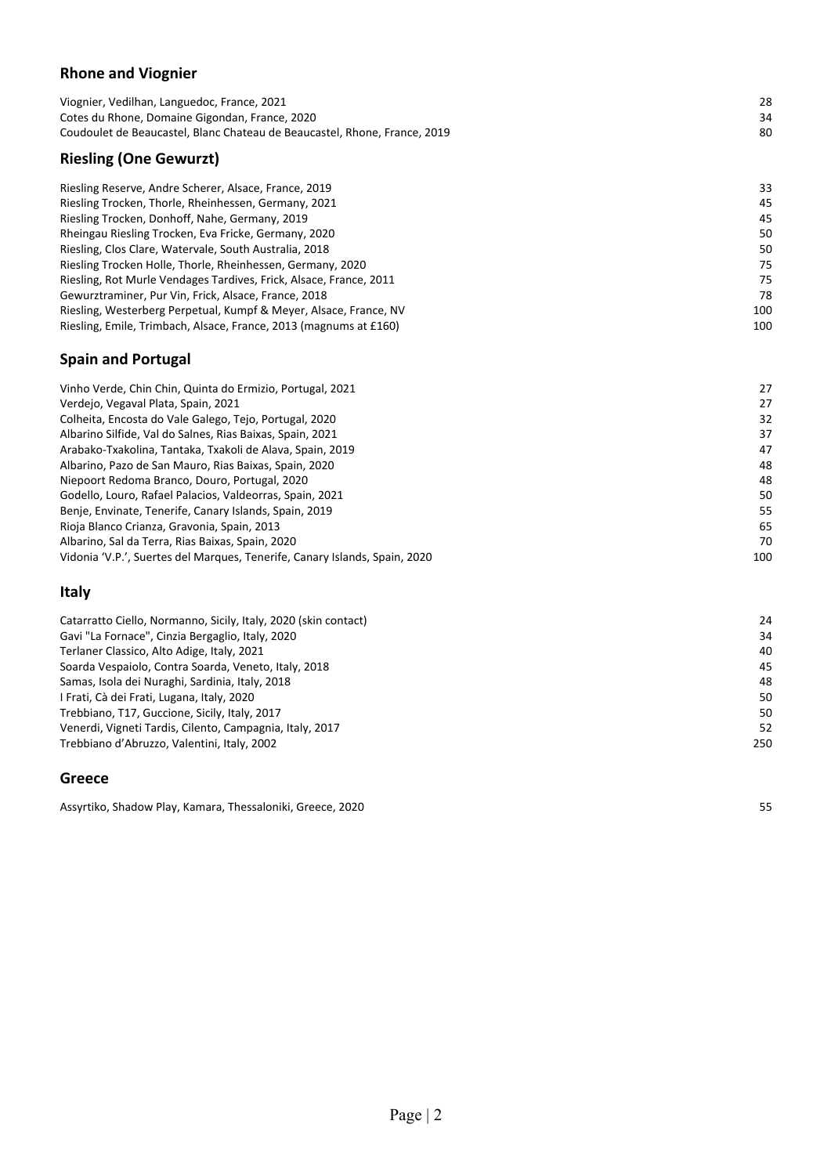#### **Rhone and Viognier**

| 80 |
|----|
| 34 |
| 28 |
|    |

#### Riesling Reserve, Andre Scherer, Alsace, France, 2019 33 33 33 Riesling Trocken, Thorle, Rheinhessen, Germany, 2021 45 Riesling Trocken, Donhoff, Nahe, Germany, 2019 45 Rheingau Riesling Trocken, Eva Fricke, Germany, 2020 50 Riesling, Clos Clare, Watervale, South Australia, 2018 **50 and Struck and Struck and Struck** 50 south Australia, 2018 Riesling Trocken Holle, Thorle, Rheinhessen, Germany, 2020 75 Riesling, Rot Murle Vendages Tardives, Frick, Alsace, France, 2011 75 Gewurztraminer, Pur Vin, Frick, Alsace, France, 2018 78 78 78 Riesling, Westerberg Perpetual, Kumpf & Meyer, Alsace, France, NV 100 100 100 100 Riesling, Emile, Trimbach, Alsace, France, 2013 (magnums at £160) 100 and 100 and 100

#### **Spain and Portugal**

| Vinho Verde, Chin Chin, Quinta do Ermizio, Portugal, 2021                  | 27  |
|----------------------------------------------------------------------------|-----|
| Verdejo, Vegaval Plata, Spain, 2021                                        | 27  |
| Colheita, Encosta do Vale Galego, Tejo, Portugal, 2020                     | 32  |
| Albarino Silfide, Val do Salnes, Rias Baixas, Spain, 2021                  | 37  |
| Arabako-Txakolina, Tantaka, Txakoli de Alava, Spain, 2019                  | 47  |
| Albarino, Pazo de San Mauro, Rias Baixas, Spain, 2020                      | 48  |
| Niepoort Redoma Branco, Douro, Portugal, 2020                              | 48  |
| Godello, Louro, Rafael Palacios, Valdeorras, Spain, 2021                   | 50  |
| Benje, Envinate, Tenerife, Canary Islands, Spain, 2019                     | 55  |
| Rioja Blanco Crianza, Gravonia, Spain, 2013                                | 65  |
| Albarino, Sal da Terra, Rias Baixas, Spain, 2020                           | 70  |
| Vidonia 'V.P.', Suertes del Marques, Tenerife, Canary Islands, Spain, 2020 | 100 |

#### **Italy**

| Catarratto Ciello, Normanno, Sicily, Italy, 2020 (skin contact) | 24  |
|-----------------------------------------------------------------|-----|
| Gavi "La Fornace", Cinzia Bergaglio, Italy, 2020                | 34  |
| Terlaner Classico, Alto Adige, Italy, 2021                      | 40  |
| Soarda Vespaiolo, Contra Soarda, Veneto, Italy, 2018            | 45  |
| Samas, Isola dei Nuraghi, Sardinia, Italy, 2018                 | 48  |
| I Frati, Cà dei Frati, Lugana, Italy, 2020                      | 50  |
| Trebbiano, T17, Guccione, Sicily, Italy, 2017                   | 50  |
| Venerdi, Vigneti Tardis, Cilento, Campagnia, Italy, 2017        | 52  |
| Trebbiano d'Abruzzo, Valentini, Italy, 2002                     | 250 |
|                                                                 |     |

#### **Greece**

Assyrtiko, Shadow Play, Kamara, Thessaloniki, Greece, 2020 55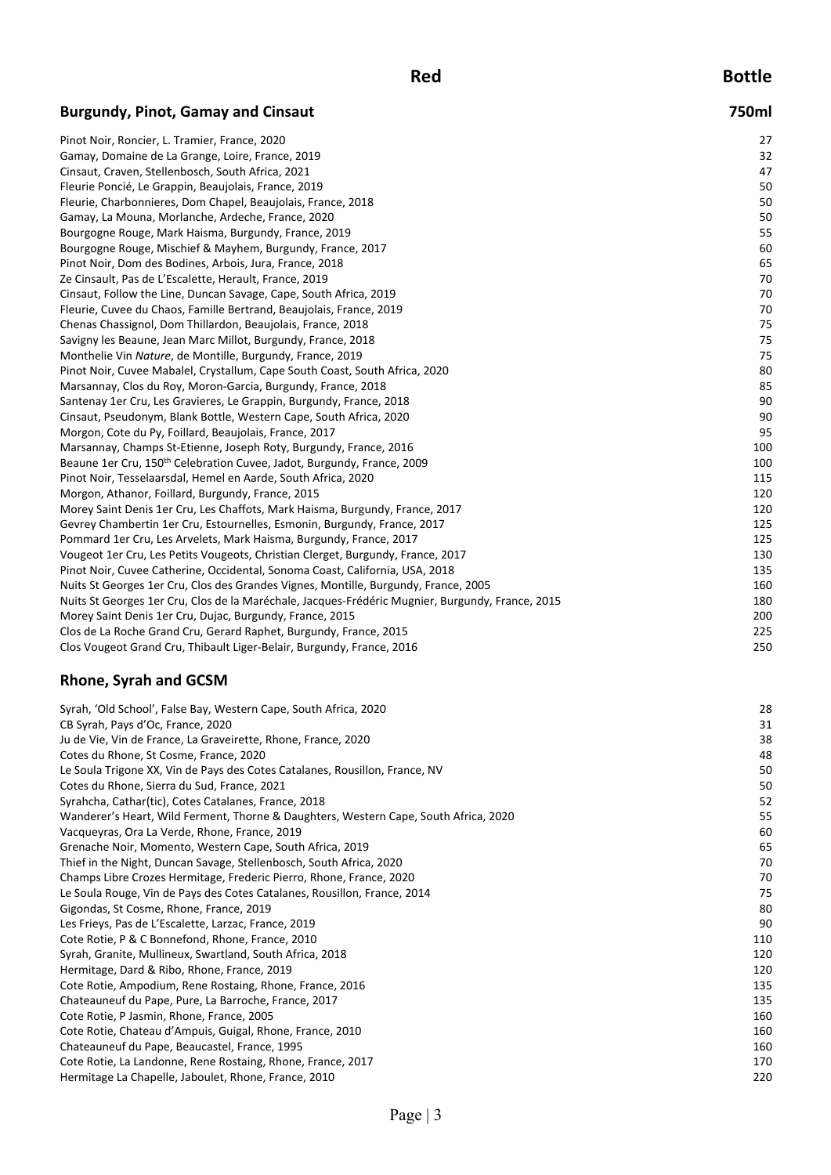**Red Bottle**

# **Burgundy, Pinot, Gamay and Cinsaut 750ml**

| Pinot Noir, Roncier, L. Tramier, France, 2020                                                    | 27  |
|--------------------------------------------------------------------------------------------------|-----|
| Gamay, Domaine de La Grange, Loire, France, 2019                                                 | 32  |
| Cinsaut, Craven, Stellenbosch, South Africa, 2021                                                | 47  |
| Fleurie Poncié, Le Grappin, Beaujolais, France, 2019                                             | 50  |
| Fleurie, Charbonnieres, Dom Chapel, Beaujolais, France, 2018                                     | 50  |
| Gamay, La Mouna, Morlanche, Ardeche, France, 2020                                                | 50  |
| Bourgogne Rouge, Mark Haisma, Burgundy, France, 2019                                             | 55  |
| Bourgogne Rouge, Mischief & Mayhem, Burgundy, France, 2017                                       | 60  |
| Pinot Noir, Dom des Bodines, Arbois, Jura, France, 2018                                          | 65  |
| Ze Cinsault, Pas de L'Escalette, Herault, France, 2019                                           | 70  |
| Cinsaut, Follow the Line, Duncan Savage, Cape, South Africa, 2019                                | 70  |
| Fleurie, Cuvee du Chaos, Famille Bertrand, Beaujolais, France, 2019                              | 70  |
| Chenas Chassignol, Dom Thillardon, Beaujolais, France, 2018                                      | 75  |
| Savigny les Beaune, Jean Marc Millot, Burgundy, France, 2018                                     | 75  |
| Monthelie Vin Nature, de Montille, Burgundy, France, 2019                                        | 75  |
| Pinot Noir, Cuvee Mabalel, Crystallum, Cape South Coast, South Africa, 2020                      | 80  |
| Marsannay, Clos du Roy, Moron-Garcia, Burgundy, France, 2018                                     | 85  |
| Santenay 1er Cru, Les Gravieres, Le Grappin, Burgundy, France, 2018                              | 90  |
| Cinsaut, Pseudonym, Blank Bottle, Western Cape, South Africa, 2020                               | 90  |
| Morgon, Cote du Py, Foillard, Beaujolais, France, 2017                                           | 95  |
| Marsannay, Champs St-Etienne, Joseph Roty, Burgundy, France, 2016                                | 100 |
| Beaune 1er Cru, 150 <sup>th</sup> Celebration Cuvee, Jadot, Burgundy, France, 2009               | 100 |
| Pinot Noir, Tesselaarsdal, Hemel en Aarde, South Africa, 2020                                    | 115 |
| Morgon, Athanor, Foillard, Burgundy, France, 2015                                                | 120 |
| Morey Saint Denis 1er Cru, Les Chaffots, Mark Haisma, Burgundy, France, 2017                     | 120 |
| Gevrey Chambertin 1er Cru, Estournelles, Esmonin, Burgundy, France, 2017                         | 125 |
| Pommard 1er Cru, Les Arvelets, Mark Haisma, Burgundy, France, 2017                               | 125 |
| Vougeot 1er Cru, Les Petits Vougeots, Christian Clerget, Burgundy, France, 2017                  | 130 |
| Pinot Noir, Cuvee Catherine, Occidental, Sonoma Coast, California, USA, 2018                     | 135 |
| Nuits St Georges 1er Cru, Clos des Grandes Vignes, Montille, Burgundy, France, 2005              | 160 |
| Nuits St Georges 1er Cru, Clos de la Maréchale, Jacques-Frédéric Mugnier, Burgundy, France, 2015 | 180 |
| Morey Saint Denis 1er Cru, Dujac, Burgundy, France, 2015                                         | 200 |
| Clos de La Roche Grand Cru, Gerard Raphet, Burgundy, France, 2015                                | 225 |
| Clos Vougeot Grand Cru, Thibault Liger-Belair, Burgundy, France, 2016                            | 250 |

# **Rhone, Syrah and GCSM**

| Syrah, 'Old School', False Bay, Western Cape, South Africa, 2020                     | 28  |
|--------------------------------------------------------------------------------------|-----|
| CB Syrah, Pays d'Oc, France, 2020                                                    | 31  |
| Ju de Vie, Vin de France, La Graveirette, Rhone, France, 2020                        | 38  |
| Cotes du Rhone, St Cosme, France, 2020                                               | 48  |
| Le Soula Trigone XX, Vin de Pays des Cotes Catalanes, Rousillon, France, NV          | 50  |
| Cotes du Rhone, Sierra du Sud, France, 2021                                          | 50  |
| Syrahcha, Cathar(tic), Cotes Catalanes, France, 2018                                 | 52  |
| Wanderer's Heart, Wild Ferment, Thorne & Daughters, Western Cape, South Africa, 2020 | 55  |
| Vacqueyras, Ora La Verde, Rhone, France, 2019                                        | 60  |
| Grenache Noir, Momento, Western Cape, South Africa, 2019                             | 65  |
| Thief in the Night, Duncan Savage, Stellenbosch, South Africa, 2020                  | 70  |
| Champs Libre Crozes Hermitage, Frederic Pierro, Rhone, France, 2020                  | 70  |
| Le Soula Rouge, Vin de Pays des Cotes Catalanes, Rousillon, France, 2014             | 75  |
| Gigondas, St Cosme, Rhone, France, 2019                                              | 80  |
| Les Frieys, Pas de L'Escalette, Larzac, France, 2019                                 | 90  |
| Cote Rotie, P & C Bonnefond, Rhone, France, 2010                                     | 110 |
| Syrah, Granite, Mullineux, Swartland, South Africa, 2018                             | 120 |
| Hermitage, Dard & Ribo, Rhone, France, 2019                                          | 120 |
| Cote Rotie, Ampodium, Rene Rostaing, Rhone, France, 2016                             | 135 |
| Chateauneuf du Pape, Pure, La Barroche, France, 2017                                 | 135 |
| Cote Rotie, P Jasmin, Rhone, France, 2005                                            | 160 |
| Cote Rotie, Chateau d'Ampuis, Guigal, Rhone, France, 2010                            | 160 |
| Chateauneuf du Pape, Beaucastel, France, 1995                                        | 160 |
| Cote Rotie, La Landonne, Rene Rostaing, Rhone, France, 2017                          | 170 |
| Hermitage La Chapelle, Jaboulet, Rhone, France, 2010                                 | 220 |
|                                                                                      |     |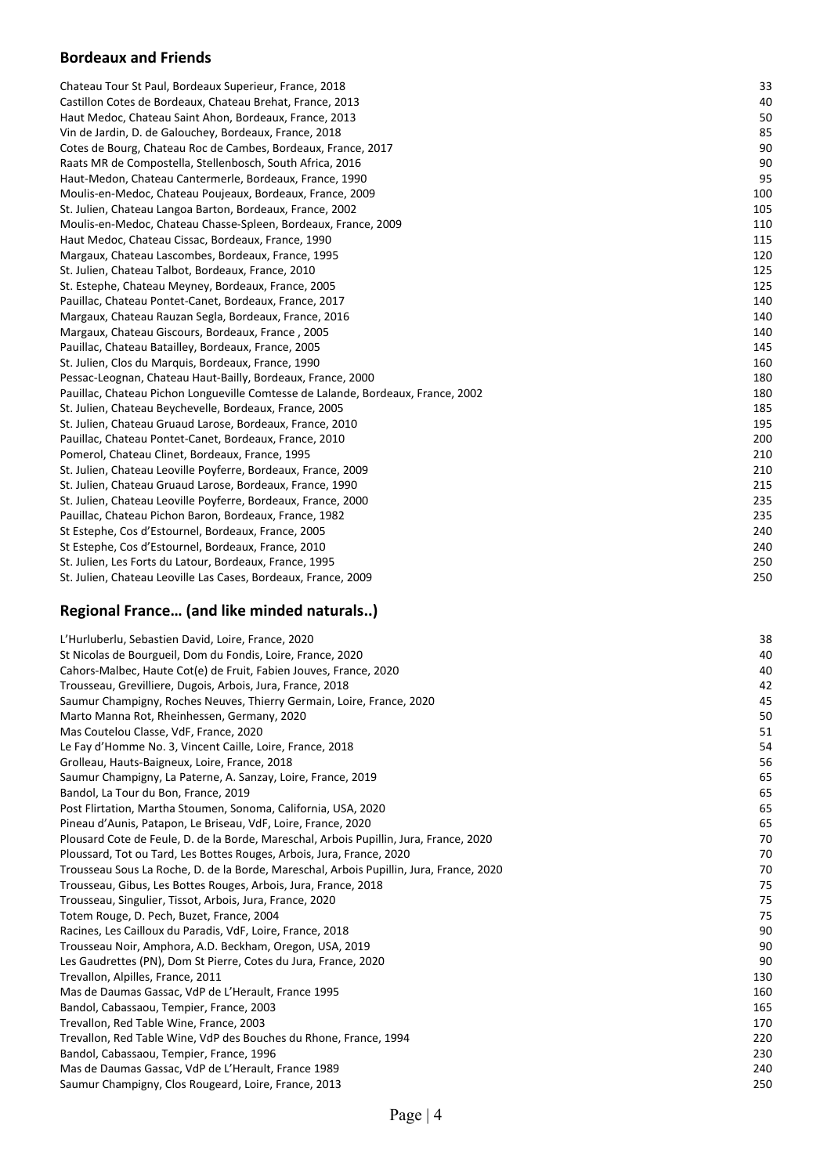# **Bordeaux and Friends**

| Chateau Tour St Paul, Bordeaux Superieur, France, 2018                           | 33  |
|----------------------------------------------------------------------------------|-----|
| Castillon Cotes de Bordeaux, Chateau Brehat, France, 2013                        | 40  |
| Haut Medoc, Chateau Saint Ahon, Bordeaux, France, 2013                           | 50  |
| Vin de Jardin, D. de Galouchey, Bordeaux, France, 2018                           | 85  |
| Cotes de Bourg, Chateau Roc de Cambes, Bordeaux, France, 2017                    | 90  |
| Raats MR de Compostella, Stellenbosch, South Africa, 2016                        | 90  |
| Haut-Medon, Chateau Cantermerle, Bordeaux, France, 1990                          | 95  |
| Moulis-en-Medoc, Chateau Poujeaux, Bordeaux, France, 2009                        | 100 |
| St. Julien, Chateau Langoa Barton, Bordeaux, France, 2002                        | 105 |
| Moulis-en-Medoc, Chateau Chasse-Spleen, Bordeaux, France, 2009                   | 110 |
| Haut Medoc, Chateau Cissac, Bordeaux, France, 1990                               | 115 |
| Margaux, Chateau Lascombes, Bordeaux, France, 1995                               | 120 |
| St. Julien, Chateau Talbot, Bordeaux, France, 2010                               | 125 |
| St. Estephe, Chateau Meyney, Bordeaux, France, 2005                              | 125 |
| Pauillac, Chateau Pontet-Canet, Bordeaux, France, 2017                           | 140 |
| Margaux, Chateau Rauzan Segla, Bordeaux, France, 2016                            | 140 |
| Margaux, Chateau Giscours, Bordeaux, France, 2005                                | 140 |
| Pauillac, Chateau Batailley, Bordeaux, France, 2005                              | 145 |
| St. Julien, Clos du Marquis, Bordeaux, France, 1990                              | 160 |
| Pessac-Leognan, Chateau Haut-Bailly, Bordeaux, France, 2000                      | 180 |
| Pauillac, Chateau Pichon Longueville Comtesse de Lalande, Bordeaux, France, 2002 | 180 |
| St. Julien, Chateau Beychevelle, Bordeaux, France, 2005                          | 185 |
| St. Julien, Chateau Gruaud Larose, Bordeaux, France, 2010                        | 195 |
| Pauillac, Chateau Pontet-Canet, Bordeaux, France, 2010                           | 200 |
| Pomerol, Chateau Clinet, Bordeaux, France, 1995                                  | 210 |
| St. Julien, Chateau Leoville Poyferre, Bordeaux, France, 2009                    | 210 |
| St. Julien, Chateau Gruaud Larose, Bordeaux, France, 1990                        | 215 |
| St. Julien, Chateau Leoville Poyferre, Bordeaux, France, 2000                    | 235 |
| Pauillac, Chateau Pichon Baron, Bordeaux, France, 1982                           | 235 |
| St Estephe, Cos d'Estournel, Bordeaux, France, 2005                              | 240 |
| St Estephe, Cos d'Estournel, Bordeaux, France, 2010                              | 240 |
| St. Julien, Les Forts du Latour, Bordeaux, France, 1995                          | 250 |
| St. Julien, Chateau Leoville Las Cases, Bordeaux, France, 2009                   | 250 |
|                                                                                  |     |

# **Regional France… (and like minded naturals..)**

| L'Hurluberlu, Sebastien David, Loire, France, 2020                                      | 38  |
|-----------------------------------------------------------------------------------------|-----|
| St Nicolas de Bourgueil, Dom du Fondis, Loire, France, 2020                             | 40  |
| Cahors-Malbec, Haute Cot(e) de Fruit, Fabien Jouves, France, 2020                       | 40  |
| Trousseau, Grevilliere, Dugois, Arbois, Jura, France, 2018                              | 42  |
| Saumur Champigny, Roches Neuves, Thierry Germain, Loire, France, 2020                   | 45  |
| Marto Manna Rot, Rheinhessen, Germany, 2020                                             | 50  |
| Mas Coutelou Classe, VdF, France, 2020                                                  | 51  |
| Le Fay d'Homme No. 3, Vincent Caille, Loire, France, 2018                               | 54  |
| Grolleau, Hauts-Baigneux, Loire, France, 2018                                           | 56  |
| Saumur Champigny, La Paterne, A. Sanzay, Loire, France, 2019                            | 65  |
| Bandol, La Tour du Bon, France, 2019                                                    | 65  |
| Post Flirtation, Martha Stoumen, Sonoma, California, USA, 2020                          | 65  |
| Pineau d'Aunis, Patapon, Le Briseau, VdF, Loire, France, 2020                           | 65  |
| Plousard Cote de Feule, D. de la Borde, Mareschal, Arbois Pupillin, Jura, France, 2020  | 70  |
| Ploussard, Tot ou Tard, Les Bottes Rouges, Arbois, Jura, France, 2020                   | 70  |
| Trousseau Sous La Roche, D. de la Borde, Mareschal, Arbois Pupillin, Jura, France, 2020 | 70  |
| Trousseau, Gibus, Les Bottes Rouges, Arbois, Jura, France, 2018                         | 75  |
| Trousseau, Singulier, Tissot, Arbois, Jura, France, 2020                                | 75  |
| Totem Rouge, D. Pech, Buzet, France, 2004                                               | 75  |
| Racines, Les Cailloux du Paradis, VdF, Loire, France, 2018                              | 90  |
| Trousseau Noir, Amphora, A.D. Beckham, Oregon, USA, 2019                                | 90  |
| Les Gaudrettes (PN), Dom St Pierre, Cotes du Jura, France, 2020                         | 90  |
| Trevallon, Alpilles, France, 2011                                                       | 130 |
| Mas de Daumas Gassac, VdP de L'Herault, France 1995                                     | 160 |
| Bandol, Cabassaou, Tempier, France, 2003                                                | 165 |
| Trevallon, Red Table Wine, France, 2003                                                 | 170 |
| Trevallon, Red Table Wine, VdP des Bouches du Rhone, France, 1994                       | 220 |
| Bandol, Cabassaou, Tempier, France, 1996                                                | 230 |
| Mas de Daumas Gassac, VdP de L'Herault, France 1989                                     | 240 |
| Saumur Champigny, Clos Rougeard, Loire, France, 2013                                    | 250 |
|                                                                                         |     |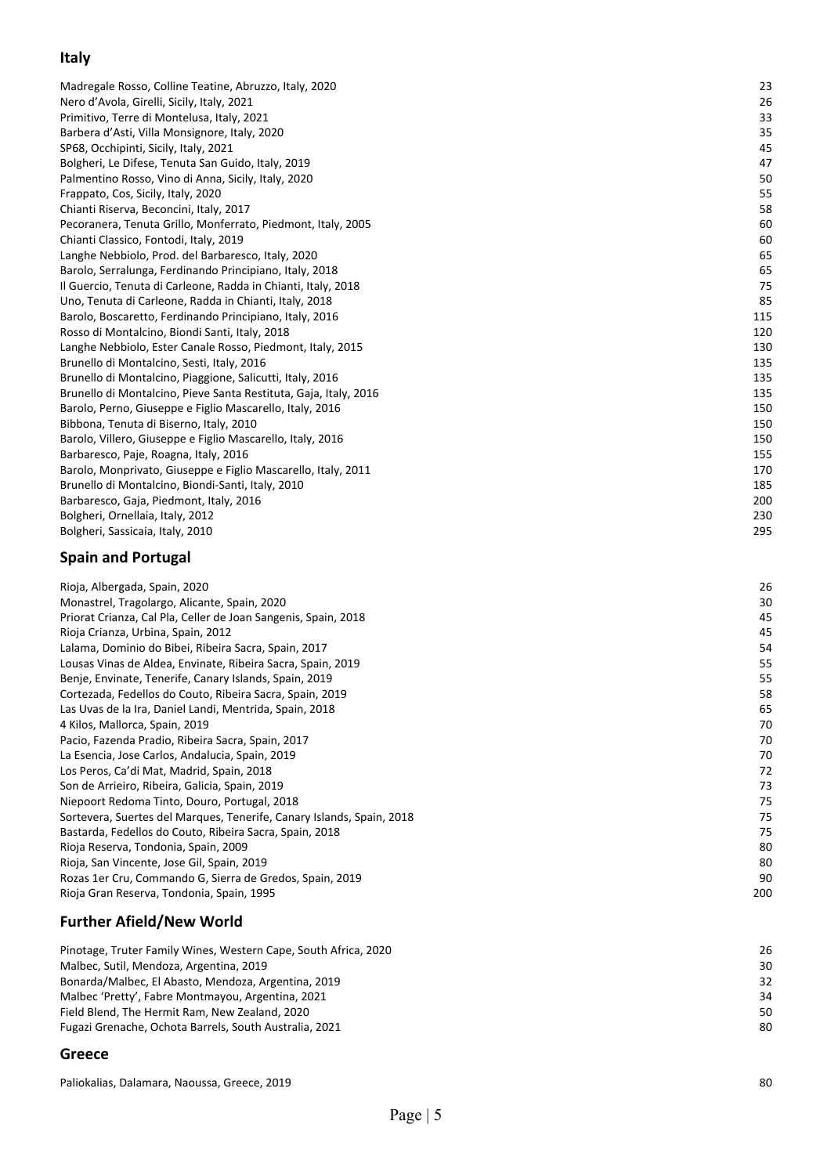# **Italy**

| Madregale Rosso, Colline Teatine, Abruzzo, Italy, 2020           | 23  |
|------------------------------------------------------------------|-----|
| Nero d'Avola, Girelli, Sicily, Italy, 2021                       | 26  |
| Primitivo, Terre di Montelusa, Italy, 2021                       | 33  |
| Barbera d'Asti, Villa Monsignore, Italy, 2020                    | 35  |
| SP68, Occhipinti, Sicily, Italy, 2021                            | 45  |
| Bolgheri, Le Difese, Tenuta San Guido, Italy, 2019               | 47  |
| Palmentino Rosso, Vino di Anna, Sicily, Italy, 2020              | 50  |
| Frappato, Cos, Sicily, Italy, 2020                               | 55  |
| Chianti Riserva, Beconcini, Italy, 2017                          | 58  |
| Pecoranera, Tenuta Grillo, Monferrato, Piedmont, Italy, 2005     | 60  |
| Chianti Classico, Fontodi, Italy, 2019                           | 60  |
| Langhe Nebbiolo, Prod. del Barbaresco, Italy, 2020               | 65  |
| Barolo, Serralunga, Ferdinando Principiano, Italy, 2018          | 65  |
| Il Guercio, Tenuta di Carleone, Radda in Chianti, Italy, 2018    | 75  |
| Uno, Tenuta di Carleone, Radda in Chianti, Italy, 2018           | 85  |
| Barolo, Boscaretto, Ferdinando Principiano, Italy, 2016          | 115 |
| Rosso di Montalcino, Biondi Santi, Italy, 2018                   | 120 |
| Langhe Nebbiolo, Ester Canale Rosso, Piedmont, Italy, 2015       | 130 |
| Brunello di Montalcino, Sesti, Italy, 2016                       | 135 |
| Brunello di Montalcino, Piaggione, Salicutti, Italy, 2016        | 135 |
| Brunello di Montalcino, Pieve Santa Restituta, Gaja, Italy, 2016 | 135 |
| Barolo, Perno, Giuseppe e Figlio Mascarello, Italy, 2016         | 150 |
| Bibbona, Tenuta di Biserno, Italy, 2010                          | 150 |
| Barolo, Villero, Giuseppe e Figlio Mascarello, Italy, 2016       | 150 |
| Barbaresco, Paje, Roagna, Italy, 2016                            | 155 |
| Barolo, Monprivato, Giuseppe e Figlio Mascarello, Italy, 2011    | 170 |
| Brunello di Montalcino, Biondi-Santi, Italy, 2010                | 185 |
| Barbaresco, Gaja, Piedmont, Italy, 2016                          | 200 |
| Bolgheri, Ornellaia, Italy, 2012                                 | 230 |
| Bolgheri, Sassicaia, Italy, 2010                                 | 295 |
|                                                                  |     |

## **Spain and Portugal**

| Rioja, Albergada, Spain, 2020                                         | 26  |
|-----------------------------------------------------------------------|-----|
| Monastrel, Tragolargo, Alicante, Spain, 2020                          | 30  |
| Priorat Crianza, Cal Pla, Celler de Joan Sangenis, Spain, 2018        | 45  |
| Rioja Crianza, Urbina, Spain, 2012                                    | 45  |
| Lalama, Dominio do Bibei, Ribeira Sacra, Spain, 2017                  | 54  |
| Lousas Vinas de Aldea, Envinate, Ribeira Sacra, Spain, 2019           | 55  |
| Benje, Envinate, Tenerife, Canary Islands, Spain, 2019                | 55  |
| Cortezada, Fedellos do Couto, Ribeira Sacra, Spain, 2019              | 58  |
| Las Uvas de la Ira, Daniel Landi, Mentrida, Spain, 2018               | 65  |
| 4 Kilos, Mallorca, Spain, 2019                                        | 70  |
| Pacio, Fazenda Pradio, Ribeira Sacra, Spain, 2017                     | 70  |
| La Esencia, Jose Carlos, Andalucia, Spain, 2019                       | 70  |
| Los Peros, Ca'di Mat, Madrid, Spain, 2018                             | 72  |
| Son de Arrieiro, Ribeira, Galicia, Spain, 2019                        | 73  |
| Niepoort Redoma Tinto, Douro, Portugal, 2018                          | 75  |
| Sortevera, Suertes del Marques, Tenerife, Canary Islands, Spain, 2018 | 75  |
| Bastarda, Fedellos do Couto, Ribeira Sacra, Spain, 2018               | 75  |
| Rioja Reserva, Tondonia, Spain, 2009                                  | 80  |
| Rioja, San Vincente, Jose Gil, Spain, 2019                            | 80  |
| Rozas 1er Cru, Commando G, Sierra de Gredos, Spain, 2019              | 90  |
| Rioja Gran Reserva, Tondonia, Spain, 1995                             | 200 |
|                                                                       |     |

# **Further Afield/New World**

| Pinotage, Truter Family Wines, Western Cape, South Africa, 2020 | 26 |
|-----------------------------------------------------------------|----|
| Malbec, Sutil, Mendoza, Argentina, 2019                         | 30 |
| Bonarda/Malbec, El Abasto, Mendoza, Argentina, 2019             | 32 |
| Malbec 'Pretty', Fabre Montmayou, Argentina, 2021               | 34 |
| Field Blend, The Hermit Ram, New Zealand, 2020                  | 50 |
| Fugazi Grenache, Ochota Barrels, South Australia, 2021          | 80 |
|                                                                 |    |

#### **Greece**

Paliokalias, Dalamara, Naoussa, Greece, 201